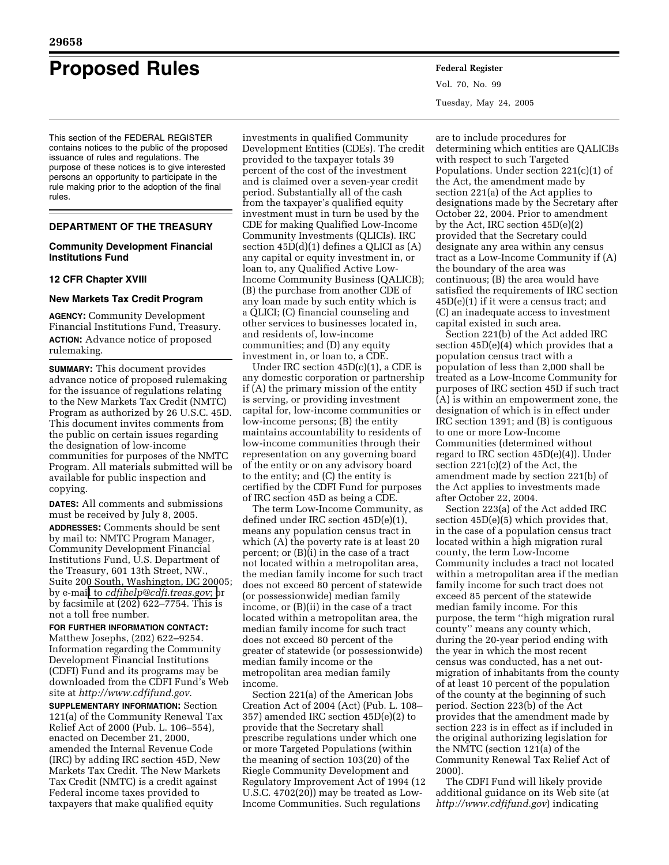# **Proposed Rules Federal Register**

This section of the FEDERAL REGISTER contains notices to the public of the proposed issuance of rules and regulations. The purpose of these notices is to give interested persons an opportunity to participate in the rule making prior to the adoption of the final rules.

# **DEPARTMENT OF THE TREASURY**

# **Community Development Financial Institutions Fund**

# **12 CFR Chapter XVIII**

# **New Markets Tax Credit Program**

**AGENCY:** Community Development Financial Institutions Fund, Treasury. **ACTION:** Advance notice of proposed rulemaking.

**SUMMARY:** This document provides advance notice of proposed rulemaking for the issuance of regulations relating to the New Markets Tax Credit (NMTC) Program as authorized by 26 U.S.C. 45D. This document invites comments from the public on certain issues regarding the designation of low-income communities for purposes of the NMTC Program. All materials submitted will be available for public inspection and copying.

**DATES:** All comments and submissions must be received by July 8, 2005.

**ADDRESSES:** Comments should be sent by mail to: NMTC Program Manager, Community Development Financial Institutions Fund, U.S. Department of the Treasury, 601 13th Street, NW., Suite 200 South, Washington, DC 20005; by e-mail to *[cdfihelp@cdfi.treas.gov](mailto:cdfihelp@cdfi.treas.gov)*; or by facsimile at (202) 622–7754. This is not a toll free number.

#### **FOR FURTHER INFORMATION CONTACT:**

Matthew Josephs, (202) 622–9254. Information regarding the Community Development Financial Institutions (CDFI) Fund and its programs may be downloaded from the CDFI Fund's Web site at *<http://www.cdfifund.gov>*.

**SUPPLEMENTARY INFORMATION:** Section 121(a) of the Community Renewal Tax Relief Act of 2000 (Pub. L. 106–554), enacted on December 21, 2000, amended the Internal Revenue Code (IRC) by adding IRC section 45D, New Markets Tax Credit. The New Markets Tax Credit (NMTC) is a credit against Federal income taxes provided to taxpayers that make qualified equity

investments in qualified Community Development Entities (CDEs). The credit provided to the taxpayer totals 39 percent of the cost of the investment and is claimed over a seven-year credit period. Substantially all of the cash from the taxpayer's qualified equity investment must in turn be used by the CDE for making Qualified Low-Income Community Investments (QLICIs). IRC section 45D(d)(1) defines a QLICI as (A) any capital or equity investment in, or loan to, any Qualified Active Low-Income Community Business (QALICB); (B) the purchase from another CDE of any loan made by such entity which is a QLICI; (C) financial counseling and other services to businesses located in, and residents of, low-income communities; and (D) any equity investment in, or loan to, a CDE.

Under IRC section 45D(c)(1), a CDE is any domestic corporation or partnership if (A) the primary mission of the entity is serving, or providing investment capital for, low-income communities or low-income persons; (B) the entity maintains accountability to residents of low-income communities through their representation on any governing board of the entity or on any advisory board to the entity; and (C) the entity is certified by the CDFI Fund for purposes of IRC section 45D as being a CDE.

The term Low-Income Community, as defined under IRC section 45D(e)(1), means any population census tract in which (A) the poverty rate is at least 20 percent; or (B)(i) in the case of a tract not located within a metropolitan area, the median family income for such tract does not exceed 80 percent of statewide (or possessionwide) median family income, or (B)(ii) in the case of a tract located within a metropolitan area, the median family income for such tract does not exceed 80 percent of the greater of statewide (or possessionwide) median family income or the metropolitan area median family income.

Section 221(a) of the American Jobs Creation Act of 2004 (Act) (Pub. L. 108– 357) amended IRC section 45D(e)(2) to provide that the Secretary shall prescribe regulations under which one or more Targeted Populations (within the meaning of section 103(20) of the Riegle Community Development and Regulatory Improvement Act of 1994 (12 U.S.C. 4702(20)) may be treated as Low-Income Communities. Such regulations

Vol. 70, No. 99 Tuesday, May 24, 2005

are to include procedures for determining which entities are QALICBs with respect to such Targeted Populations. Under section 221(c)(1) of the Act, the amendment made by section 221(a) of the Act applies to designations made by the Secretary after October 22, 2004. Prior to amendment by the Act, IRC section 45D(e)(2) provided that the Secretary could designate any area within any census tract as a Low-Income Community if (A) the boundary of the area was continuous; (B) the area would have satisfied the requirements of IRC section 45D(e)(1) if it were a census tract; and (C) an inadequate access to investment capital existed in such area.

Section 221(b) of the Act added IRC section 45D(e)(4) which provides that a population census tract with a population of less than 2,000 shall be treated as a Low-Income Community for purposes of IRC section 45D if such tract (A) is within an empowerment zone, the designation of which is in effect under IRC section 1391; and (B) is contiguous to one or more Low-Income Communities (determined without regard to IRC section 45D(e)(4)). Under section 221(c)(2) of the Act, the amendment made by section 221(b) of the Act applies to investments made after October 22, 2004.

Section 223(a) of the Act added IRC section 45D(e)(5) which provides that, in the case of a population census tract located within a high migration rural county, the term Low-Income Community includes a tract not located within a metropolitan area if the median family income for such tract does not exceed 85 percent of the statewide median family income. For this purpose, the term ''high migration rural county'' means any county which, during the 20-year period ending with the year in which the most recent census was conducted, has a net outmigration of inhabitants from the county of at least 10 percent of the population of the county at the beginning of such period. Section 223(b) of the Act provides that the amendment made by section 223 is in effect as if included in the original authorizing legislation for the NMTC (section 121(a) of the Community Renewal Tax Relief Act of 2000).

The CDFI Fund will likely provide additional guidance on its Web site (at *<http://www.cdfifund.gov>*) indicating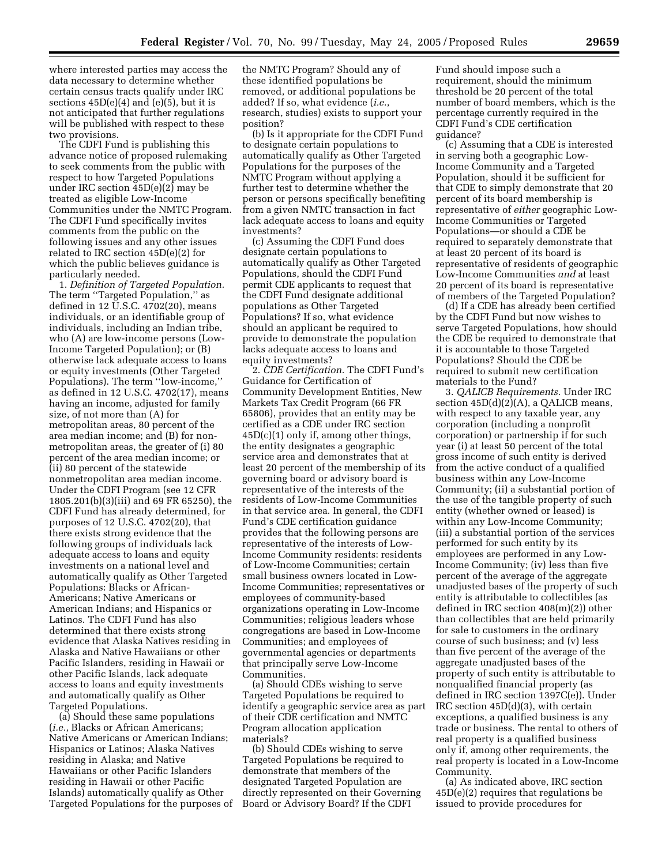where interested parties may access the data necessary to determine whether certain census tracts qualify under IRC sections  $45D(e)(4)$  and  $(e)(5)$ , but it is not anticipated that further regulations will be published with respect to these two provisions.

The CDFI Fund is publishing this advance notice of proposed rulemaking to seek comments from the public with respect to how Targeted Populations under IRC section 45D(e)(2) may be treated as eligible Low-Income Communities under the NMTC Program. The CDFI Fund specifically invites comments from the public on the following issues and any other issues related to IRC section 45D(e)(2) for which the public believes guidance is particularly needed.

1. *Definition of Targeted Population.* The term ''Targeted Population,'' as defined in 12 U.S.C. 4702(20), means individuals, or an identifiable group of individuals, including an Indian tribe, who (A) are low-income persons (Low-Income Targeted Population); or (B) otherwise lack adequate access to loans or equity investments (Other Targeted Populations). The term ''low-income,'' as defined in 12 U.S.C. 4702(17), means having an income, adjusted for family size, of not more than (A) for metropolitan areas, 80 percent of the area median income; and (B) for nonmetropolitan areas, the greater of (i) 80 percent of the area median income; or (ii) 80 percent of the statewide nonmetropolitan area median income. Under the CDFI Program (see 12 CFR 1805.201(b)(3)(iii) and 69 FR 65250), the CDFI Fund has already determined, for purposes of 12 U.S.C. 4702(20), that there exists strong evidence that the following groups of individuals lack adequate access to loans and equity investments on a national level and automatically qualify as Other Targeted Populations: Blacks or African-Americans; Native Americans or American Indians; and Hispanics or Latinos. The CDFI Fund has also determined that there exists strong evidence that Alaska Natives residing in Alaska and Native Hawaiians or other Pacific Islanders, residing in Hawaii or other Pacific Islands, lack adequate access to loans and equity investments and automatically qualify as Other Targeted Populations.

(a) Should these same populations (*i.e.*, Blacks or African Americans; Native Americans or American Indians; Hispanics or Latinos; Alaska Natives residing in Alaska; and Native Hawaiians or other Pacific Islanders residing in Hawaii or other Pacific Islands) automatically qualify as Other Targeted Populations for the purposes of

the NMTC Program? Should any of these identified populations be removed, or additional populations be added? If so, what evidence (*i.e.*, research, studies) exists to support your position?

(b) Is it appropriate for the CDFI Fund to designate certain populations to automatically qualify as Other Targeted Populations for the purposes of the NMTC Program without applying a further test to determine whether the person or persons specifically benefiting from a given NMTC transaction in fact lack adequate access to loans and equity investments?

(c) Assuming the CDFI Fund does designate certain populations to automatically qualify as Other Targeted Populations, should the CDFI Fund permit CDE applicants to request that the CDFI Fund designate additional populations as Other Targeted Populations? If so, what evidence should an applicant be required to provide to demonstrate the population lacks adequate access to loans and equity investments?

2. *CDE Certification.* The CDFI Fund's Guidance for Certification of Community Development Entities, New Markets Tax Credit Program (66 FR 65806), provides that an entity may be certified as a CDE under IRC section  $45D(c)(1)$  only if, among other things, the entity designates a geographic service area and demonstrates that at least 20 percent of the membership of its governing board or advisory board is representative of the interests of the residents of Low-Income Communities in that service area. In general, the CDFI Fund's CDE certification guidance provides that the following persons are representative of the interests of Low-Income Community residents: residents of Low-Income Communities; certain small business owners located in Low-Income Communities; representatives or employees of community-based organizations operating in Low-Income Communities; religious leaders whose congregations are based in Low-Income Communities; and employees of governmental agencies or departments that principally serve Low-Income Communities.

(a) Should CDEs wishing to serve Targeted Populations be required to identify a geographic service area as part of their CDE certification and NMTC Program allocation application materials?

(b) Should CDEs wishing to serve Targeted Populations be required to demonstrate that members of the designated Targeted Population are directly represented on their Governing Board or Advisory Board? If the CDFI

Fund should impose such a requirement, should the minimum threshold be 20 percent of the total number of board members, which is the percentage currently required in the CDFI Fund's CDE certification guidance?

(c) Assuming that a CDE is interested in serving both a geographic Low-Income Community and a Targeted Population, should it be sufficient for that CDE to simply demonstrate that 20 percent of its board membership is representative of *either* geographic Low-Income Communities or Targeted Populations—or should a CDE be required to separately demonstrate that at least 20 percent of its board is representative of residents of geographic Low-Income Communities *and* at least 20 percent of its board is representative of members of the Targeted Population?

(d) If a CDE has already been certified by the CDFI Fund but now wishes to serve Targeted Populations, how should the CDE be required to demonstrate that it is accountable to those Targeted Populations? Should the CDE be required to submit new certification materials to the Fund?

3. *QALICB Requirements.* Under IRC section  $45D(d)(2)(A)$ , a QALICB means, with respect to any taxable year, any corporation (including a nonprofit corporation) or partnership if for such year (i) at least 50 percent of the total gross income of such entity is derived from the active conduct of a qualified business within any Low-Income Community; (ii) a substantial portion of the use of the tangible property of such entity (whether owned or leased) is within any Low-Income Community; (iii) a substantial portion of the services performed for such entity by its employees are performed in any Low-Income Community; (iv) less than five percent of the average of the aggregate unadjusted bases of the property of such entity is attributable to collectibles (as defined in IRC section 408(m)(2)) other than collectibles that are held primarily for sale to customers in the ordinary course of such business; and (v) less than five percent of the average of the aggregate unadjusted bases of the property of such entity is attributable to nonqualified financial property (as defined in IRC section 1397C(e)). Under IRC section 45D(d)(3), with certain exceptions, a qualified business is any trade or business. The rental to others of real property is a qualified business only if, among other requirements, the real property is located in a Low-Income Community.

(a) As indicated above, IRC section  $45D(e)(2)$  requires that regulations be issued to provide procedures for